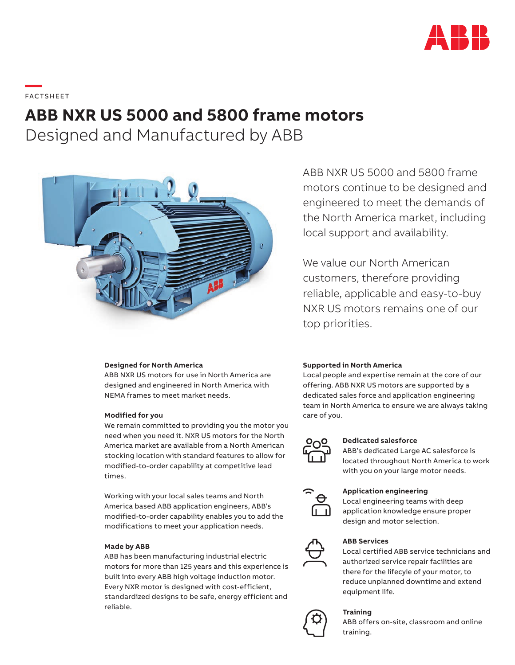

**—**  FAC TS H EE T

# **ABB NXR US 5000 and 5800 frame motors**

Designed and Manufactured by ABB



### **Designed for North America**

ABB NXR US motors for use in North America are designed and engineered in North America with NEMA frames to meet market needs.

### **Modified for you**

We remain committed to providing you the motor you need when you need it. NXR US motors for the North America market are available from a North American stocking location with standard features to allow for modified-to-order capability at competitive lead times.

Working with your local sales teams and North America based ABB application engineers, ABB's modified-to-order capability enables you to add the modifications to meet your application needs.

### **Made by ABB**

ABB has been manufacturing industrial electric motors for more than 125 years and this experience is built into every ABB high voltage induction motor. Every NXR motor is designed with cost-efficient, standardized designs to be safe, energy efficient and reliable.

ABB NXR US 5000 and 5800 frame motors continue to be designed and engineered to meet the demands of the North America market, including local support and availability.

We value our North American customers, therefore providing reliable, applicable and easy-to-buy NXR US motors remains one of our top priorities.

### **Supported in North America**

Local people and expertise remain at the core of our offering. ABB NXR US motors are supported by a dedicated sales force and application engineering team in North America to ensure we are always taking care of you.



### **Dedicated salesforce**

ABB's dedicated Large AC salesforce is located throughout North America to work with you on your large motor needs.



#### **Application engineering**

Local engineering teams with deep application knowledge ensure proper design and motor selection.



### **ABB Services**

Local certified ABB service technicians and authorized service repair facilities are there for the lifecyle of your motor, to reduce unplanned downtime and extend equipment life.

### **Training**



ABB offers on-site, classroom and online training.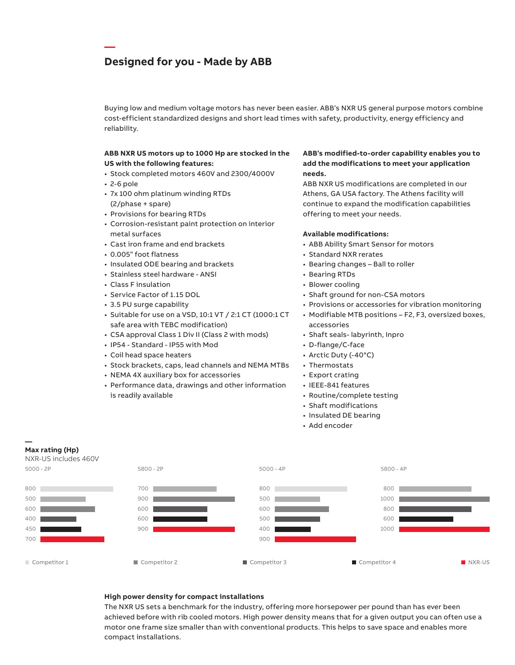### **Designed for you - Made by ABB**

Buying low and medium voltage motors has never been easier. ABB's NXR US general purpose motors combine cost-efficient standardized designs and short lead times with safety, productivity, energy efficiency and reliability.

### **ABB NXR US motors up to 1000 Hp are stocked in the US with the following features:**

- Stock completed motors 460V and 2300/4000V
- 2-6 pole

**—**

- 7x 100 ohm platinum winding RTDs (2/phase + spare)
- Provisions for bearing RTDs
- Corrosion-resistant paint protection on interior metal surfaces
- Cast iron frame and end brackets
- 0.005" foot flatness
- Insulated ODE bearing and brackets
- Stainless steel hardware ANSI
- Class F insulation
- Service Factor of 1.15 DOL
- 3.5 PU surge capability
- Suitable for use on a VSD, 10:1 VT / 2:1 CT (1000:1 CT safe area with TEBC modification)
- CSA approval Class 1 Div II (Class 2 with mods)
- IP54 Standard IP55 with Mod
- Coil head space heaters

**—**

**Max rating (Hp)**

- Stock brackets, caps, lead channels and NEMA MTBs
- NEMA 4X auxiliary box for accessories
- Performance data, drawings and other information is readily available

### **ABB's modified-to-order capability enables you to add the modifications to meet your application needs.**

ABB NXR US modifications are completed in our Athens, GA USA factory. The Athens facility will continue to expand the modification capabilities offering to meet your needs.

### **Available modifications:**

- ABB Ability Smart Sensor for motors
- Standard NXR rerates
- Bearing changes Ball to roller
- Bearing RTDs
- Blower cooling
- Shaft ground for non-CSA motors
- Provisions or accessories for vibration monitoring
- Modifiable MTB positions F2, F3, oversized boxes, accessories
- Shaft seals- labyrinth, Inpro
- D-flange/C-face
- Arctic Duty (-40°C)
- Thermostats
- Export crating
- IEEE-841 features
- Routine/complete testing
- Shaft modifications
- Insulated DE bearing
- Add encoder



### **High power density for compact installations**

The NXR US sets a benchmark for the industry, offering more horsepower per pound than has ever been achieved before with rib cooled motors. High power density means that for a given output you can often use a motor one frame size smaller than with conventional products. This helps to save space and enables more compact installations.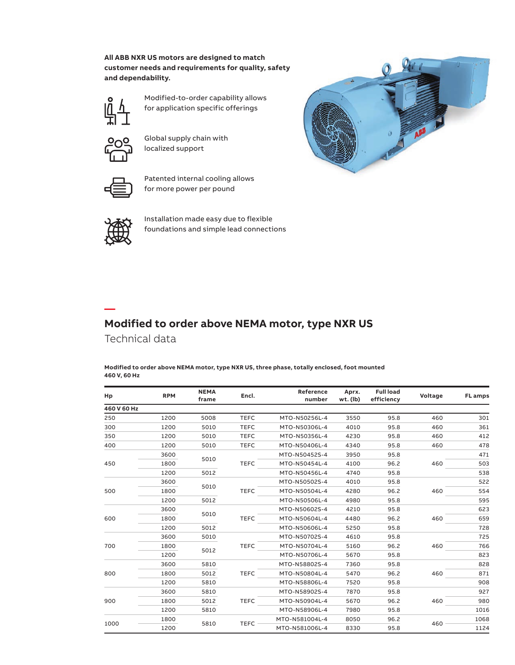### **All ABB NXR US motors are designed to match customer needs and requirements for quality, safety and dependability.**



Modified-to-order capability allows for application specific offerings



Global supply chain with localized support



Patented internal cooling allows for more power per pound



**—**

Installation made easy due to flexible foundations and simple lead connections



## **Modified to order above NEMA motor, type NXR US** Technical data

**Modified to order above NEMA motor, type NXR US, three phase, totally enclosed, foot mounted 460 V, 60 Hz**

| Hp          | <b>RPM</b> | <b>NEMA</b><br>frame | Encl.       | Reference<br>number | Aprx.<br>wt. (lb) | <b>Full load</b><br>efficiency | Voltage | <b>FL</b> amps |
|-------------|------------|----------------------|-------------|---------------------|-------------------|--------------------------------|---------|----------------|
| 460 V 60 Hz |            |                      |             |                     |                   |                                |         |                |
| 250         | 1200       | 5008                 | <b>TEFC</b> | MTO-N50256L-4       | 3550              | 95.8                           | 460     | 301            |
| 300         | 1200       | 5010                 | <b>TEFC</b> | MTO-N50306L-4       | 4010              | 95.8                           | 460     | 361            |
| 350         | 1200       | 5010                 | <b>TEFC</b> | MTO-N50356L-4       | 4230              | 95.8                           | 460     | 412            |
| 400         | 1200       | 5010                 | <b>TEFC</b> | MTO-N50406L-4       | 4340              | 95.8                           | 460     | 478            |
| 450         | 3600       | 5010                 | <b>TEFC</b> | MTO-N50452S-4       | 3950              | 95.8                           | 460     | 471            |
|             | 1800       |                      |             | MTO-N50454L-4       | 4100              | 96.2                           |         | 503            |
|             | 1200       | 5012                 |             | MTO-N50456L-4       | 4740              | 95.8                           |         | 538            |
| 500         | 3600       |                      |             | MTO-N50502S-4       | 4010              | 95.8                           |         | 522            |
|             | 1800       | 5010                 | <b>TEFC</b> | MTO-N50504L-4       | 4280              | 96.2                           | 460     | 554            |
|             | 1200       | 5012                 |             | MTO-N50506L-4       | 4980              | 95.8                           |         | 595            |
| 600         | 3600       |                      |             | MTO-N50602S-4       | 4210              | 95.8                           |         | 623            |
|             | 1800       | 5010                 | <b>TEFC</b> | MTO-N50604L-4       | 4480              | 96.2                           | 460     | 659            |
|             | 1200       | 5012                 |             | MTO-N50606L-4       | 5250              | 95.8                           |         | 728            |
| 700         | 3600       | 5010                 |             | MTO-N50702S-4       | 4610              | 95.8                           |         | 725            |
|             | 1800       | 5012                 | <b>TEFC</b> | MTO-N50704L-4       | 5160              | 96.2                           | 460     | 766            |
|             | 1200       |                      |             | MTO-N50706L-4       | 5670              | 95.8                           |         | 823            |
| 800         | 3600       | 5810                 | <b>TEFC</b> | MTO-N58802S-4       | 7360              | 95.8                           | 460     | 828            |
|             | 1800       | 5012                 |             | MTO-N50804L-4       | 5470              | 96.2                           |         | 871            |
|             | 1200       | 5810                 |             | MTO-N58806L-4       | 7520              | 95.8                           |         | 908            |
| 900         | 3600       | 5810                 | <b>TEFC</b> | MTO-N58902S-4       | 7870              | 95.8                           | 460     | 927            |
|             | 1800       | 5012                 |             | MTO-N50904L-4       | 5670              | 96.2                           |         | 980            |
|             | 1200       | 5810                 |             | MTO-N58906L-4       | 7980              | 95.8                           |         | 1016           |
| 1000        | 1800       |                      |             | MTO-N581004L-4      | 8050              | 96.2                           |         | 1068           |
|             | 1200       | 5810                 | <b>TEFC</b> | MTO-N581006L-4      | 8330              | 95.8                           | 460     | 1124           |